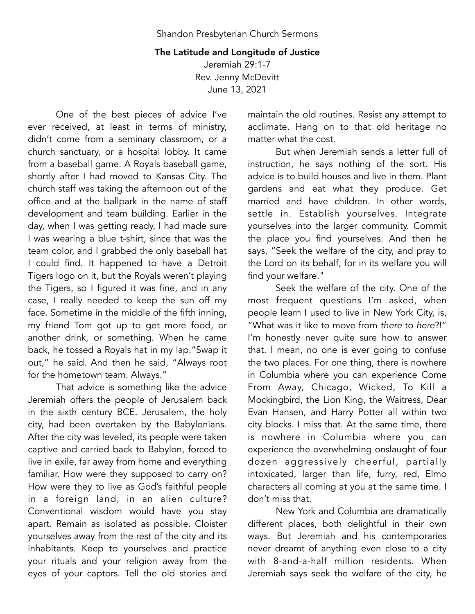## The Latitude and Longitude of Justice

Jeremiah 29:1-7 Rev. Jenny McDevitt June 13, 2021

One of the best pieces of advice I've ever received, at least in terms of ministry, didn't come from a seminary classroom, or a church sanctuary, or a hospital lobby. It came from a baseball game. A Royals baseball game, shortly after I had moved to Kansas City. The church staff was taking the afternoon out of the office and at the ballpark in the name of staff development and team building. Earlier in the day, when I was getting ready, I had made sure I was wearing a blue t-shirt, since that was the team color, and I grabbed the only baseball hat I could find. It happened to have a Detroit Tigers logo on it, but the Royals weren't playing the Tigers, so I figured it was fine, and in any case, I really needed to keep the sun off my face. Sometime in the middle of the fifth inning, my friend Tom got up to get more food, or another drink, or something. When he came back, he tossed a Royals hat in my lap."Swap it out," he said. And then he said, "Always root for the hometown team. Always."

That advice is something like the advice Jeremiah offers the people of Jerusalem back in the sixth century BCE. Jerusalem, the holy city, had been overtaken by the Babylonians. After the city was leveled, its people were taken captive and carried back to Babylon, forced to live in exile, far away from home and everything familiar. How were they supposed to carry on? How were they to live as God's faithful people in a foreign land, in an alien culture? Conventional wisdom would have you stay apart. Remain as isolated as possible. Cloister yourselves away from the rest of the city and its inhabitants. Keep to yourselves and practice your rituals and your religion away from the eyes of your captors. Tell the old stories and

maintain the old routines. Resist any attempt to acclimate. Hang on to that old heritage no matter what the cost.

But when Jeremiah sends a letter full of instruction, he says nothing of the sort. His advice is to build houses and live in them. Plant gardens and eat what they produce. Get married and have children. In other words, settle in. Establish yourselves. Integrate yourselves into the larger community. Commit the place you find yourselves. And then he says, "Seek the welfare of the city, and pray to the Lord on its behalf, for in its welfare you will find your welfare."

Seek the welfare of the city. One of the most frequent questions I'm asked, when people learn I used to live in New York City, is, "What was it like to move from *there* to *here*?!" I'm honestly never quite sure how to answer that. I mean, no one is ever going to confuse the two places. For one thing, there is nowhere in Columbia where you can experience Come From Away, Chicago, Wicked, To Kill a Mockingbird, the Lion King, the Waitress, Dear Evan Hansen, and Harry Potter all within two city blocks. I miss that. At the same time, there is nowhere in Columbia where you can experience the overwhelming onslaught of four dozen aggressively cheerful, partially intoxicated, larger than life, furry, red, Elmo characters all coming at you at the same time. I don't miss that.

New York and Columbia are dramatically different places, both delightful in their own ways. But Jeremiah and his contemporaries never dreamt of anything even close to a city with 8-and-a-half million residents. When Jeremiah says seek the welfare of the city, he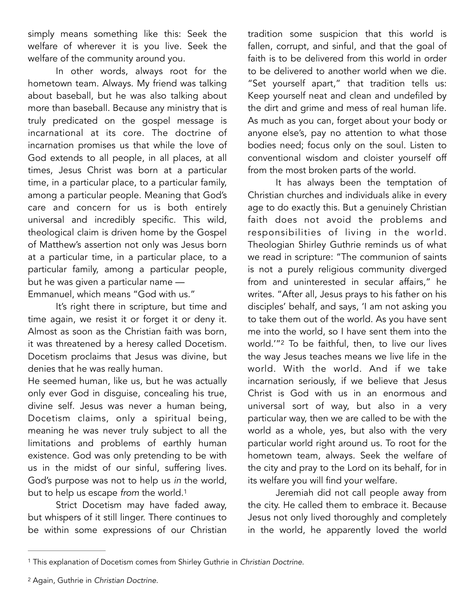simply means something like this: Seek the welfare of wherever it is you live. Seek the welfare of the community around you.

In other words, always root for the hometown team. Always. My friend was talking about baseball, but he was also talking about more than baseball. Because any ministry that is truly predicated on the gospel message is incarnational at its core. The doctrine of incarnation promises us that while the love of God extends to all people, in all places, at all times, Jesus Christ was born at a particular time, in a particular place, to a particular family, among a particular people. Meaning that God's care and concern for us is both entirely universal and incredibly specific. This wild, theological claim is driven home by the Gospel of Matthew's assertion not only was Jesus born at a particular time, in a particular place, to a particular family, among a particular people, but he was given a particular name — Emmanuel, which means "God with us."

It's right there in scripture, but time and time again, we resist it or forget it or deny it. Almost as soon as the Christian faith was born, it was threatened by a heresy called Docetism. Docetism proclaims that Jesus was divine, but denies that he was really human.

He seemed human, like us, but he was actually only ever God in disguise, concealing his true, divine self. Jesus was never a human being, Docetism claims, only a spiritual being, meaning he was never truly subject to all the limitations and problems of earthly human existence. God was only pretending to be with us in the midst of our sinful, suffering lives. God's purpose was not to help us *in* the world, but to help us escape *from* the world.[1](#page-1-0)

Strict Docetism may have faded away, but whispers of it still linger. There continues to be within some expressions of our Christian tradition some suspicion that this world is fallen, corrupt, and sinful, and that the goal of faith is to be delivered from this world in order to be delivered to another world when we die. "Set yourself apart," that tradition tells us: Keep yourself neat and clean and undefiled by the dirt and grime and mess of real human life. As much as you can, forget about your body or anyone else's, pay no attention to what those bodies need; focus only on the soul. Listen to conventional wisdom and cloister yourself off from the most broken parts of the world.

It has always been the temptation of Christian churches and individuals alike in every age to do exactly this. But a genuinely Christian faith does not avoid the problems and responsibilities of living in the world. Theologian Shirley Guthrie reminds us of what we read in scripture: "The communion of saints is not a purely religious community diverged from and uninterested in secular affairs," he writes. "After all, Jesus prays to his father on his disciples' behalf, and says, 'I am not asking you to take them out of the world. As you have sent me into the world, so I have sent them into the world.'"<sup>[2](#page-1-1)</sup> To be faithful, then, to live our lives the way Jesus teaches means we live life in the world. With the world. And if we take incarnation seriously, if we believe that Jesus Christ is God with us in an enormous and universal sort of way, but also in a very particular way, then we are called to be with the world as a whole, yes, but also with the very particular world right around us. To root for the hometown team, always. Seek the welfare of the city and pray to the Lord on its behalf, for in its welfare you will find your welfare.

<span id="page-1-3"></span><span id="page-1-2"></span>Jeremiah did not call people away from the city. He called them to embrace it. Because Jesus not only lived thoroughly and completely in the world, he apparently loved the world

<span id="page-1-1"></span>Again, Guthrie in *Christian Doctrine*. [2](#page-1-3)

<span id="page-1-0"></span>This explanation of Docetism comes from Shirley Guthrie in *Christian Doctrine*. [1](#page-1-2)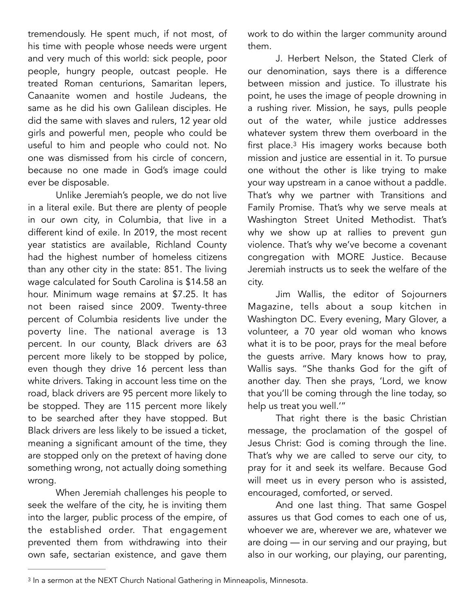tremendously. He spent much, if not most, of his time with people whose needs were urgent and very much of this world: sick people, poor people, hungry people, outcast people. He treated Roman centurions, Samaritan lepers, Canaanite women and hostile Judeans, the same as he did his own Galilean disciples. He did the same with slaves and rulers, 12 year old girls and powerful men, people who could be useful to him and people who could not. No one was dismissed from his circle of concern, because no one made in God's image could ever be disposable.

Unlike Jeremiah's people, we do not live in a literal exile. But there are plenty of people in our own city, in Columbia, that live in a different kind of exile. In 2019, the most recent year statistics are available, Richland County had the highest number of homeless citizens than any other city in the state: 851. The living wage calculated for South Carolina is \$14.58 an hour. Minimum wage remains at \$7.25. It has not been raised since 2009. Twenty-three percent of Columbia residents live under the poverty line. The national average is 13 percent. In our county, Black drivers are 63 percent more likely to be stopped by police, even though they drive 16 percent less than white drivers. Taking in account less time on the road, black drivers are 95 percent more likely to be stopped. They are 115 percent more likely to be searched after they have stopped. But Black drivers are less likely to be issued a ticket, meaning a significant amount of the time, they are stopped only on the pretext of having done something wrong, not actually doing something wrong.

When Jeremiah challenges his people to seek the welfare of the city, he is inviting them into the larger, public process of the empire, of the established order. That engagement prevented them from withdrawing into their own safe, sectarian existence, and gave them

work to do within the larger community around them.

<span id="page-2-1"></span>J. Herbert Nelson, the Stated Clerk of our denomination, says there is a difference between mission and justice. To illustrate his point, he uses the image of people drowning in a rushing river. Mission, he says, pulls people out of the water, while justice addresses whatever system threw them overboard in the first place. $3$  His imagery works because both mission and justice are essential in it. To pursue one without the other is like trying to make your way upstream in a canoe without a paddle. That's why we partner with Transitions and Family Promise. That's why we serve meals at Washington Street United Methodist. That's why we show up at rallies to prevent gun violence. That's why we've become a covenant congregation with MORE Justice. Because Jeremiah instructs us to seek the welfare of the city.

Jim Wallis, the editor of Sojourners Magazine, tells about a soup kitchen in Washington DC. Every evening, Mary Glover, a volunteer, a 70 year old woman who knows what it is to be poor, prays for the meal before the guests arrive. Mary knows how to pray, Wallis says. "She thanks God for the gift of another day. Then she prays, 'Lord, we know that you'll be coming through the line today, so help us treat you well.'"

That right there is the basic Christian message, the proclamation of the gospel of Jesus Christ: God is coming through the line. That's why we are called to serve our city, to pray for it and seek its welfare. Because God will meet us in every person who is assisted, encouraged, comforted, or served.

And one last thing. That same Gospel assures us that God comes to each one of us, whoever we are, wherever we are, whatever we are doing — in our serving and our praying, but also in our working, our playing, our parenting,

<span id="page-2-0"></span><sup>&</sup>lt;sup>[3](#page-2-1)</sup> In a sermon at the NEXT Church National Gathering in Minneapolis, Minnesota.